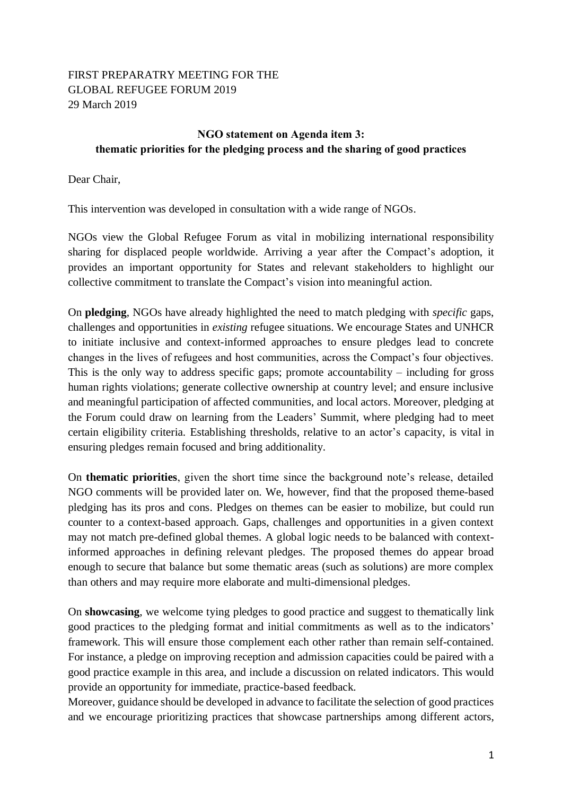## FIRST PREPARATRY MEETING FOR THE GLOBAL REFUGEE FORUM 2019 29 March 2019

## **NGO statement on Agenda item 3: thematic priorities for the pledging process and the sharing of good practices**

Dear Chair,

This intervention was developed in consultation with a wide range of NGOs.

NGOs view the Global Refugee Forum as vital in mobilizing international responsibility sharing for displaced people worldwide. Arriving a year after the Compact's adoption, it provides an important opportunity for States and relevant stakeholders to highlight our collective commitment to translate the Compact's vision into meaningful action.

On **pledging**, NGOs have already highlighted the need to match pledging with *specific* gaps, challenges and opportunities in *existing* refugee situations. We encourage States and UNHCR to initiate inclusive and context-informed approaches to ensure pledges lead to concrete changes in the lives of refugees and host communities, across the Compact's four objectives. This is the only way to address specific gaps; promote accountability – including for gross human rights violations; generate collective ownership at country level; and ensure inclusive and meaningful participation of affected communities, and local actors. Moreover, pledging at the Forum could draw on learning from the Leaders' Summit, where pledging had to meet certain eligibility criteria. Establishing thresholds, relative to an actor's capacity, is vital in ensuring pledges remain focused and bring additionality.

On **thematic priorities**, given the short time since the background note's release, detailed NGO comments will be provided later on. We, however, find that the proposed theme-based pledging has its pros and cons. Pledges on themes can be easier to mobilize, but could run counter to a context-based approach. Gaps, challenges and opportunities in a given context may not match pre-defined global themes. A global logic needs to be balanced with contextinformed approaches in defining relevant pledges. The proposed themes do appear broad enough to secure that balance but some thematic areas (such as solutions) are more complex than others and may require more elaborate and multi-dimensional pledges.

On **showcasing**, we welcome tying pledges to good practice and suggest to thematically link good practices to the pledging format and initial commitments as well as to the indicators' framework. This will ensure those complement each other rather than remain self-contained. For instance, a pledge on improving reception and admission capacities could be paired with a good practice example in this area, and include a discussion on related indicators. This would provide an opportunity for immediate, practice-based feedback.

Moreover, guidance should be developed in advance to facilitate the selection of good practices and we encourage prioritizing practices that showcase partnerships among different actors,